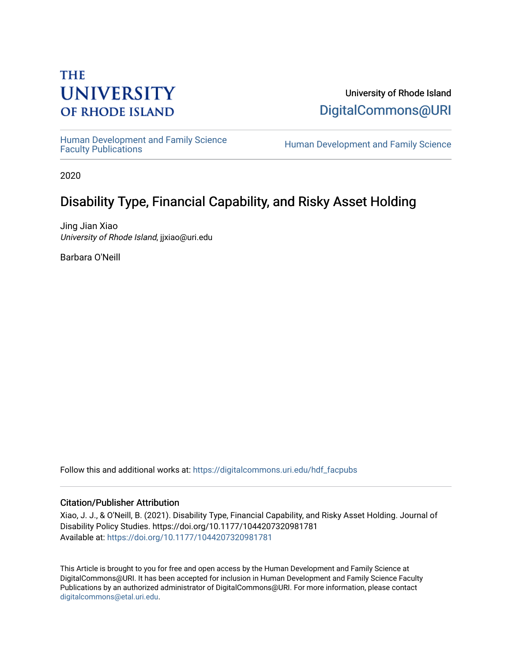# **THE UNIVERSITY OF RHODE ISLAND**

University of Rhode Island [DigitalCommons@URI](https://digitalcommons.uri.edu/) 

Human Development and Family Science<br>Faculty Publications

Human Development and Family Science

2020

# Disability Type, Financial Capability, and Risky Asset Holding

Jing Jian Xiao University of Rhode Island, jjxiao@uri.edu

Barbara O'Neill

Follow this and additional works at: [https://digitalcommons.uri.edu/hdf\\_facpubs](https://digitalcommons.uri.edu/hdf_facpubs?utm_source=digitalcommons.uri.edu%2Fhdf_facpubs%2F85&utm_medium=PDF&utm_campaign=PDFCoverPages) 

#### Citation/Publisher Attribution

Xiao, J. J., & O'Neill, B. (2021). Disability Type, Financial Capability, and Risky Asset Holding. Journal of Disability Policy Studies. https://doi.org/10.1177/1044207320981781 Available at: [https://doi.org/10.1177/1044207320981781](https://doi.org/10.1177%2F1044207320981781) 

This Article is brought to you for free and open access by the Human Development and Family Science at DigitalCommons@URI. It has been accepted for inclusion in Human Development and Family Science Faculty Publications by an authorized administrator of DigitalCommons@URI. For more information, please contact [digitalcommons@etal.uri.edu](mailto:digitalcommons@etal.uri.edu).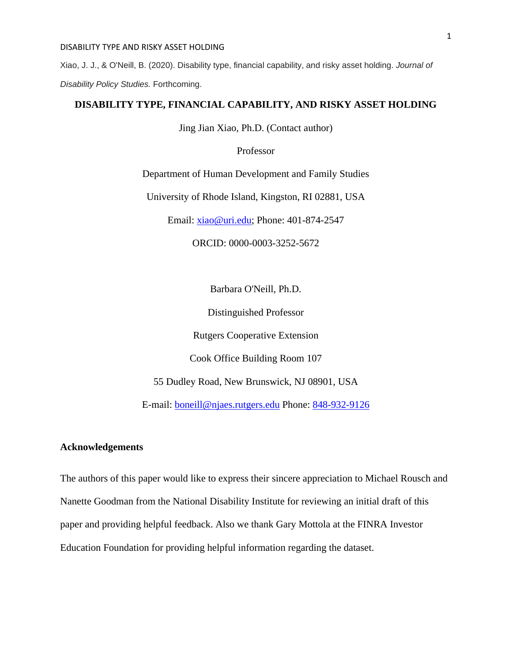Xiao, J. J., & O'Neill, B. (2020). Disability type, financial capability, and risky asset holding. *Journal of Disability Policy Studies.* Forthcoming.

#### **DISABILITY TYPE, FINANCIAL CAPABILITY, AND RISKY ASSET HOLDING**

Jing Jian Xiao, Ph.D. (Contact author)

Professor

Department of Human Development and Family Studies

University of Rhode Island, Kingston, RI 02881, USA

Email: [xiao@uri.edu;](mailto:xiao@uri.edu) Phone: 401-874-2547

ORCID: 0000-0003-3252-5672

Barbara O'Neill, Ph.D.

Distinguished Professor

Rutgers Cooperative Extension

Cook Office Building Room 107

55 Dudley Road, New Brunswick, NJ 08901, USA

E-mail: [boneill@njaes.rutgers.edu](mailto:boneill@njaes.rutgers.edu) Phone: [848-932-9126](tel:%28848%29%20932-9126)

### **Acknowledgements**

The authors of this paper would like to express their sincere appreciation to Michael Rousch and Nanette Goodman from the National Disability Institute for reviewing an initial draft of this paper and providing helpful feedback. Also we thank Gary Mottola at the FINRA Investor Education Foundation for providing helpful information regarding the dataset.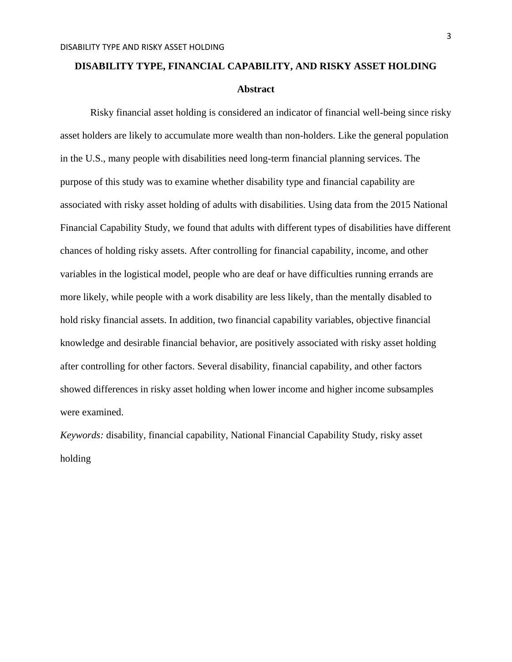# **DISABILITY TYPE, FINANCIAL CAPABILITY, AND RISKY ASSET HOLDING Abstract**

Risky financial asset holding is considered an indicator of financial well-being since risky asset holders are likely to accumulate more wealth than non-holders. Like the general population in the U.S., many people with disabilities need long-term financial planning services. The purpose of this study was to examine whether disability type and financial capability are associated with risky asset holding of adults with disabilities. Using data from the 2015 National Financial Capability Study, we found that adults with different types of disabilities have different chances of holding risky assets. After controlling for financial capability, income, and other variables in the logistical model, people who are deaf or have difficulties running errands are more likely, while people with a work disability are less likely, than the mentally disabled to hold risky financial assets. In addition, two financial capability variables, objective financial knowledge and desirable financial behavior, are positively associated with risky asset holding after controlling for other factors. Several disability, financial capability, and other factors showed differences in risky asset holding when lower income and higher income subsamples were examined.

*Keywords:* disability, financial capability, National Financial Capability Study, risky asset holding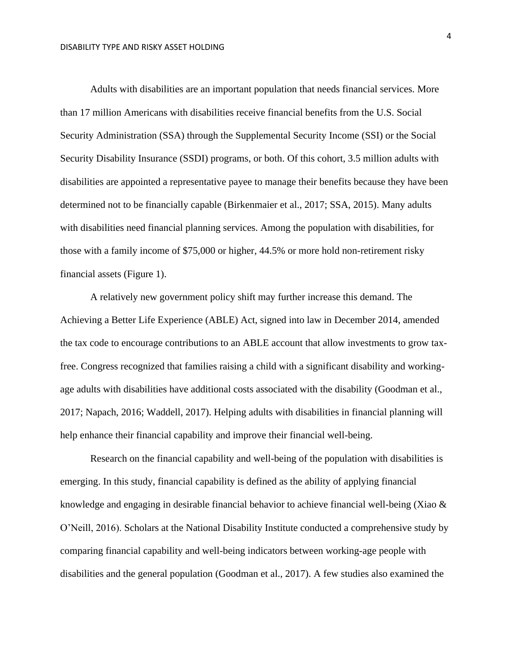Adults with disabilities are an important population that needs financial services. More than 17 million Americans with disabilities receive financial benefits from the U.S. Social Security Administration (SSA) through the Supplemental Security Income (SSI) or the Social Security Disability Insurance (SSDI) programs, or both. Of this cohort, 3.5 million adults with disabilities are appointed a representative payee to manage their benefits because they have been determined not to be financially capable (Birkenmaier et al., 2017; SSA, 2015). Many adults with disabilities need financial planning services. Among the population with disabilities, for those with a family income of \$75,000 or higher, 44.5% or more hold non-retirement risky financial assets (Figure 1).

A relatively new government policy shift may further increase this demand. The Achieving a Better Life Experience (ABLE) Act, signed into law in December 2014, amended the tax code to encourage contributions to an ABLE account that allow investments to grow taxfree. Congress recognized that families raising a child with a significant disability and workingage adults with disabilities have additional costs associated with the disability (Goodman et al., 2017; Napach, 2016; Waddell, 2017). Helping adults with disabilities in financial planning will help enhance their financial capability and improve their financial well-being.

Research on the financial capability and well-being of the population with disabilities is emerging. In this study, financial capability is defined as the ability of applying financial knowledge and engaging in desirable financial behavior to achieve financial well-being (Xiao  $\&$ O'Neill, 2016). Scholars at the National Disability Institute conducted a comprehensive study by comparing financial capability and well-being indicators between working-age people with disabilities and the general population (Goodman et al., 2017). A few studies also examined the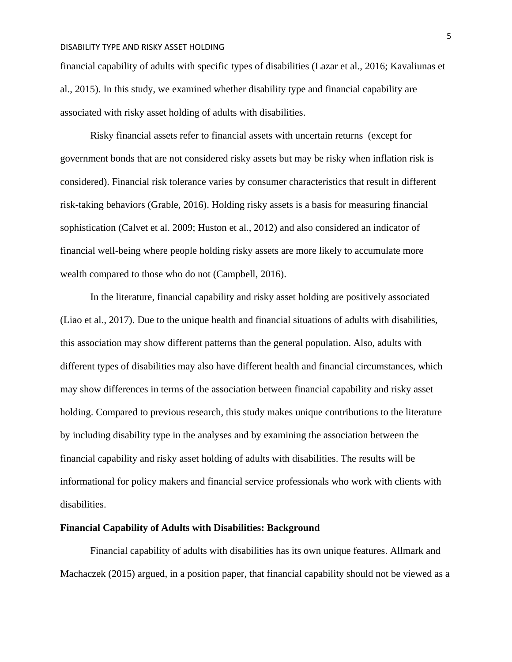financial capability of adults with specific types of disabilities (Lazar et al., 2016; Kavaliunas et al., 2015). In this study, we examined whether disability type and financial capability are associated with risky asset holding of adults with disabilities.

Risky financial assets refer to financial assets with uncertain returns (except for government bonds that are not considered risky assets but may be risky when inflation risk is considered). Financial risk tolerance varies by consumer characteristics that result in different risk-taking behaviors (Grable, 2016). Holding risky assets is a basis for measuring financial sophistication (Calvet et al. 2009; Huston et al., 2012) and also considered an indicator of financial well-being where people holding risky assets are more likely to accumulate more wealth compared to those who do not (Campbell, 2016).

In the literature, financial capability and risky asset holding are positively associated (Liao et al., 2017). Due to the unique health and financial situations of adults with disabilities, this association may show different patterns than the general population. Also, adults with different types of disabilities may also have different health and financial circumstances, which may show differences in terms of the association between financial capability and risky asset holding. Compared to previous research, this study makes unique contributions to the literature by including disability type in the analyses and by examining the association between the financial capability and risky asset holding of adults with disabilities. The results will be informational for policy makers and financial service professionals who work with clients with disabilities.

#### **Financial Capability of Adults with Disabilities: Background**

Financial capability of adults with disabilities has its own unique features. Allmark and Machaczek (2015) argued, in a position paper, that financial capability should not be viewed as a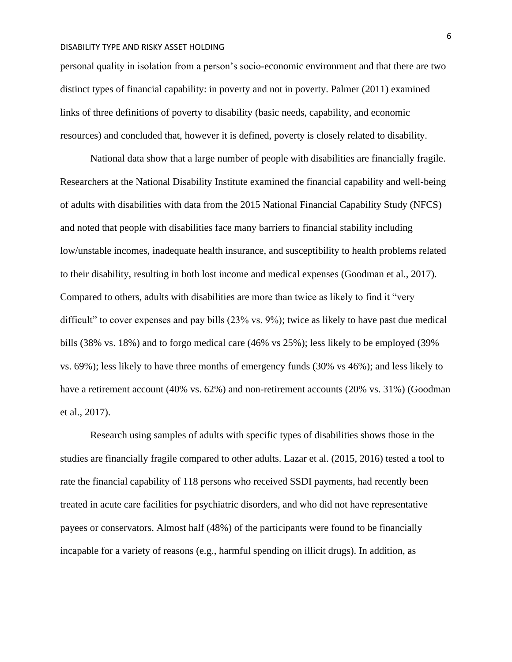personal quality in isolation from a person's socio-economic environment and that there are two distinct types of financial capability: in poverty and not in poverty. Palmer (2011) examined links of three definitions of poverty to disability (basic needs, capability, and economic resources) and concluded that, however it is defined, poverty is closely related to disability.

National data show that a large number of people with disabilities are financially fragile. Researchers at the National Disability Institute examined the financial capability and well-being of adults with disabilities with data from the 2015 National Financial Capability Study (NFCS) and noted that people with disabilities face many barriers to financial stability including low/unstable incomes, inadequate health insurance, and susceptibility to health problems related to their disability, resulting in both lost income and medical expenses (Goodman et al., 2017). Compared to others, adults with disabilities are more than twice as likely to find it "very difficult" to cover expenses and pay bills (23% vs. 9%); twice as likely to have past due medical bills (38% vs. 18%) and to forgo medical care (46% vs 25%); less likely to be employed (39% vs. 69%); less likely to have three months of emergency funds (30% vs 46%); and less likely to have a retirement account (40% vs. 62%) and non-retirement accounts (20% vs. 31%) (Goodman et al., 2017).

Research using samples of adults with specific types of disabilities shows those in the studies are financially fragile compared to other adults. Lazar et al. (2015, 2016) tested a tool to rate the financial capability of 118 persons who received SSDI payments, had recently been treated in acute care facilities for psychiatric disorders, and who did not have representative payees or conservators. Almost half (48%) of the participants were found to be financially incapable for a variety of reasons (e.g., harmful spending on illicit drugs). In addition, as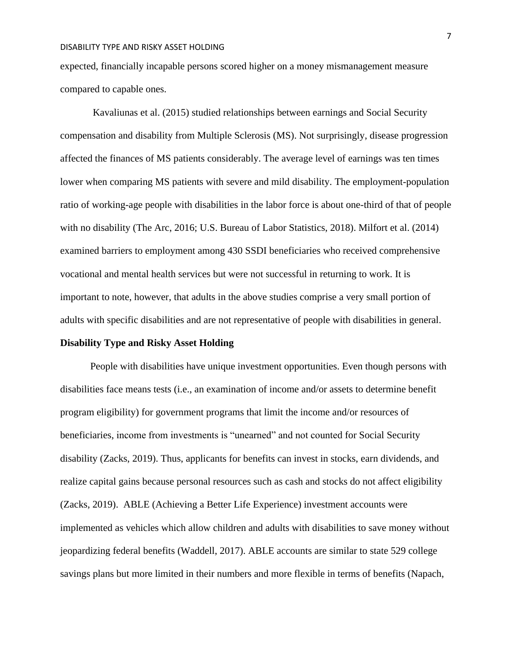expected, financially incapable persons scored higher on a money mismanagement measure compared to capable ones.

Kavaliunas et al. (2015) studied relationships between earnings and Social Security compensation and disability from Multiple Sclerosis (MS). Not surprisingly, disease progression affected the finances of MS patients considerably. The average level of earnings was ten times lower when comparing MS patients with severe and mild disability. The employment-population ratio of working-age people with disabilities in the labor force is about one-third of that of people with no disability (The Arc, 2016; U.S. Bureau of Labor Statistics, 2018). Milfort et al. (2014) examined barriers to employment among 430 SSDI beneficiaries who received comprehensive vocational and mental health services but were not successful in returning to work. It is important to note, however, that adults in the above studies comprise a very small portion of adults with specific disabilities and are not representative of people with disabilities in general.

#### **Disability Type and Risky Asset Holding**

People with disabilities have unique investment opportunities. Even though persons with disabilities face means tests (i.e., an examination of income and/or assets to determine benefit program eligibility) for government programs that limit the income and/or resources of beneficiaries, income from investments is "unearned" and not counted for Social Security disability (Zacks, 2019). Thus, applicants for benefits can invest in stocks, earn dividends, and realize capital gains because personal resources such as cash and stocks do not affect eligibility (Zacks, 2019). ABLE (Achieving a Better Life Experience) investment accounts were implemented as vehicles which allow children and adults with disabilities to save money without jeopardizing federal benefits (Waddell, 2017). ABLE accounts are similar to state 529 college savings plans but more limited in their numbers and more flexible in terms of benefits (Napach,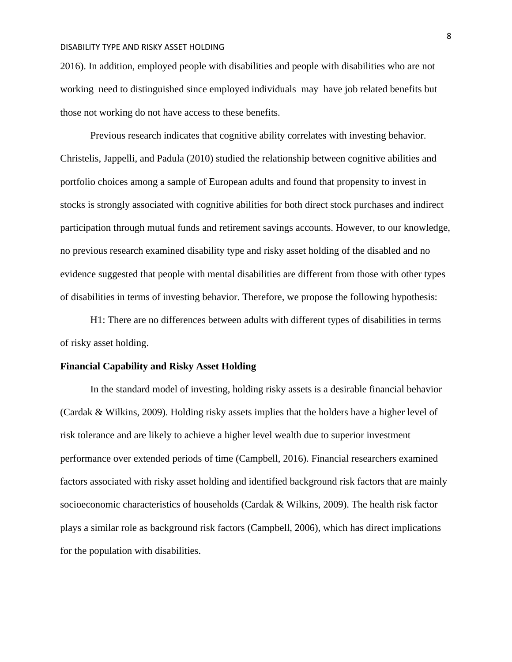2016). In addition, employed people with disabilities and people with disabilities who are not working need to distinguished since employed individuals may have job related benefits but those not working do not have access to these benefits.

Previous research indicates that cognitive ability correlates with investing behavior. Christelis, Jappelli, and Padula (2010) studied the relationship between cognitive abilities and portfolio choices among a sample of European adults and found that propensity to invest in stocks is strongly associated with cognitive abilities for both direct stock purchases and indirect participation through mutual funds and retirement savings accounts. However, to our knowledge, no previous research examined disability type and risky asset holding of the disabled and no evidence suggested that people with mental disabilities are different from those with other types of disabilities in terms of investing behavior. Therefore, we propose the following hypothesis:

H1: There are no differences between adults with different types of disabilities in terms of risky asset holding.

#### **Financial Capability and Risky Asset Holding**

In the standard model of investing, holding risky assets is a desirable financial behavior (Cardak & Wilkins, 2009). Holding risky assets implies that the holders have a higher level of risk tolerance and are likely to achieve a higher level wealth due to superior investment performance over extended periods of time (Campbell, 2016). Financial researchers examined factors associated with risky asset holding and identified background risk factors that are mainly socioeconomic characteristics of households (Cardak & Wilkins, 2009). The health risk factor plays a similar role as background risk factors (Campbell, 2006), which has direct implications for the population with disabilities.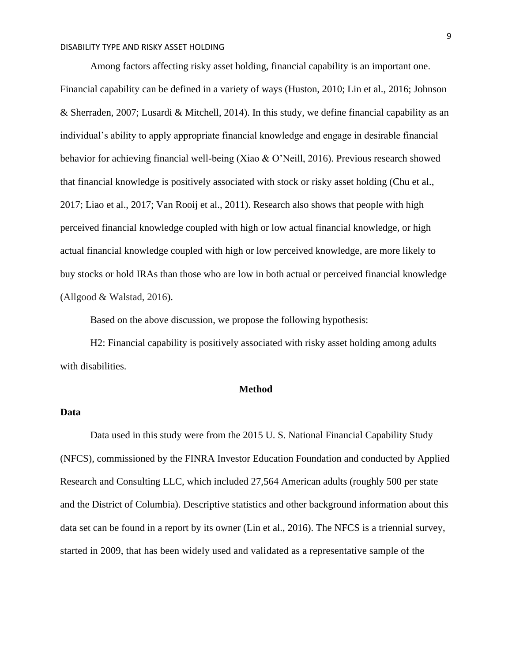Among factors affecting risky asset holding, financial capability is an important one. Financial capability can be defined in a variety of ways (Huston, 2010; Lin et al., 2016; Johnson & Sherraden, 2007; Lusardi & Mitchell, 2014). In this study, we define financial capability as an individual's ability to apply appropriate financial knowledge and engage in desirable financial behavior for achieving financial well-being (Xiao & O'Neill, 2016). Previous research showed that financial knowledge is positively associated with stock or risky asset holding (Chu et al., 2017; Liao et al., 2017; Van Rooij et al., 2011). Research also shows that people with high perceived financial knowledge coupled with high or low actual financial knowledge, or high actual financial knowledge coupled with high or low perceived knowledge, are more likely to buy stocks or hold IRAs than those who are low in both actual or perceived financial knowledge (Allgood & Walstad, 2016).

Based on the above discussion, we propose the following hypothesis:

H2: Financial capability is positively associated with risky asset holding among adults with disabilities.

#### **Method**

#### **Data**

Data used in this study were from the 2015 U. S. National Financial Capability Study (NFCS), commissioned by the FINRA Investor Education Foundation and conducted by Applied Research and Consulting LLC, which included 27,564 American adults (roughly 500 per state and the District of Columbia). Descriptive statistics and other background information about this data set can be found in a report by its owner (Lin et al., 2016). The NFCS is a triennial survey, started in 2009, that has been widely used and validated as a representative sample of the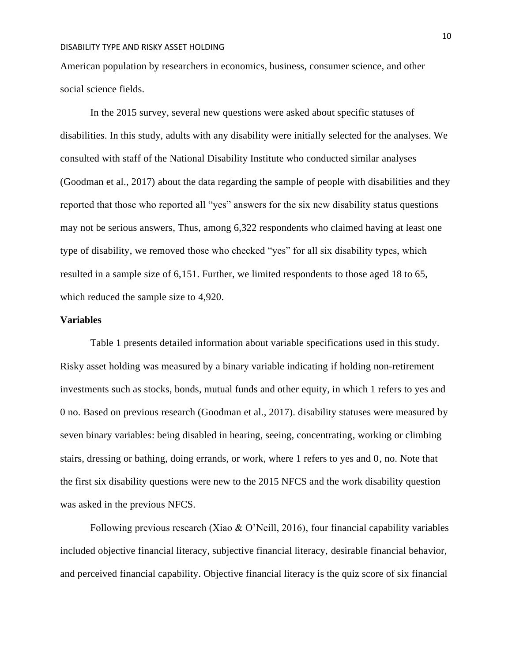American population by researchers in economics, business, consumer science, and other social science fields.

In the 2015 survey, several new questions were asked about specific statuses of disabilities. In this study, adults with any disability were initially selected for the analyses. We consulted with staff of the National Disability Institute who conducted similar analyses (Goodman et al., 2017) about the data regarding the sample of people with disabilities and they reported that those who reported all "yes" answers for the six new disability status questions may not be serious answers, Thus, among 6,322 respondents who claimed having at least one type of disability, we removed those who checked "yes" for all six disability types, which resulted in a sample size of 6,151. Further, we limited respondents to those aged 18 to 65, which reduced the sample size to 4,920.

#### **Variables**

Table 1 presents detailed information about variable specifications used in this study. Risky asset holding was measured by a binary variable indicating if holding non-retirement investments such as stocks, bonds, mutual funds and other equity, in which 1 refers to yes and 0 no. Based on previous research (Goodman et al., 2017). disability statuses were measured by seven binary variables: being disabled in hearing, seeing, concentrating, working or climbing stairs, dressing or bathing, doing errands, or work, where 1 refers to yes and 0, no. Note that the first six disability questions were new to the 2015 NFCS and the work disability question was asked in the previous NFCS.

Following previous research (Xiao & O'Neill, 2016), four financial capability variables included objective financial literacy, subjective financial literacy, desirable financial behavior, and perceived financial capability. Objective financial literacy is the quiz score of six financial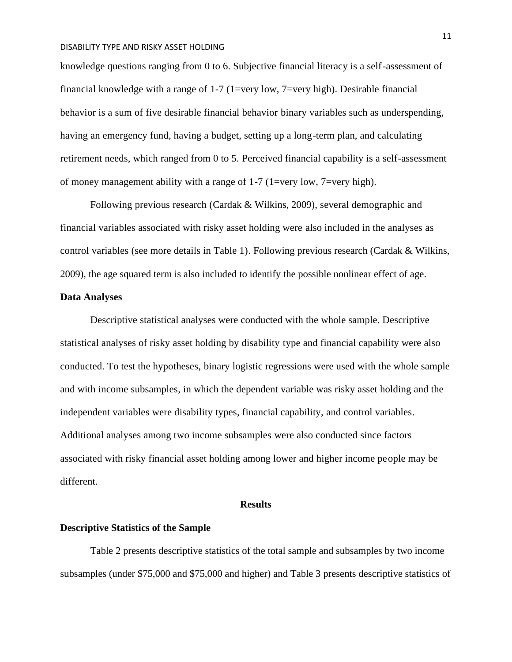knowledge questions ranging from 0 to 6. Subjective financial literacy is a self-assessment of financial knowledge with a range of 1-7 (1=very low, 7=very high). Desirable financial behavior is a sum of five desirable financial behavior binary variables such as underspending, having an emergency fund, having a budget, setting up a long-term plan, and calculating retirement needs, which ranged from 0 to 5. Perceived financial capability is a self-assessment of money management ability with a range of  $1-7$  (1=very low, 7=very high).

Following previous research (Cardak & Wilkins, 2009), several demographic and financial variables associated with risky asset holding were also included in the analyses as control variables (see more details in Table 1). Following previous research (Cardak & Wilkins, 2009), the age squared term is also included to identify the possible nonlinear effect of age.

#### **Data Analyses**

Descriptive statistical analyses were conducted with the whole sample. Descriptive statistical analyses of risky asset holding by disability type and financial capability were also conducted. To test the hypotheses, binary logistic regressions were used with the whole sample and with income subsamples, in which the dependent variable was risky asset holding and the independent variables were disability types, financial capability, and control variables. Additional analyses among two income subsamples were also conducted since factors associated with risky financial asset holding among lower and higher income people may be different.

#### **Results**

#### **Descriptive Statistics of the Sample**

Table 2 presents descriptive statistics of the total sample and subsamples by two income subsamples (under \$75,000 and \$75,000 and higher) and Table 3 presents descriptive statistics of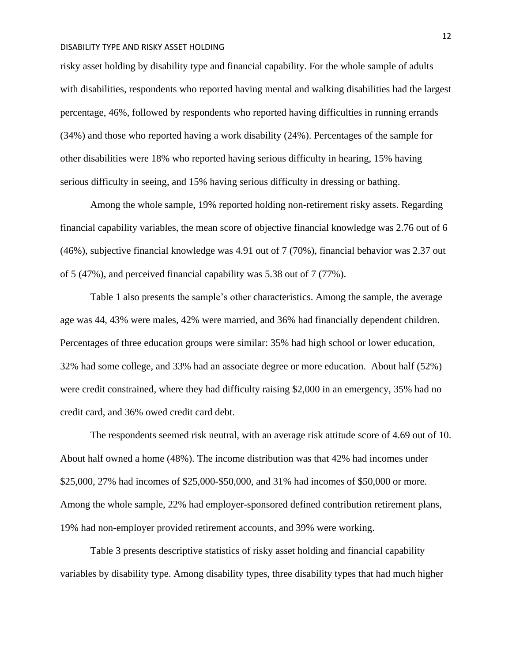risky asset holding by disability type and financial capability. For the whole sample of adults with disabilities, respondents who reported having mental and walking disabilities had the largest percentage, 46%, followed by respondents who reported having difficulties in running errands (34%) and those who reported having a work disability (24%). Percentages of the sample for other disabilities were 18% who reported having serious difficulty in hearing, 15% having serious difficulty in seeing, and 15% having serious difficulty in dressing or bathing.

Among the whole sample, 19% reported holding non-retirement risky assets. Regarding financial capability variables, the mean score of objective financial knowledge was 2.76 out of 6 (46%), subjective financial knowledge was 4.91 out of 7 (70%), financial behavior was 2.37 out of 5 (47%), and perceived financial capability was 5.38 out of 7 (77%).

Table 1 also presents the sample's other characteristics. Among the sample, the average age was 44, 43% were males, 42% were married, and 36% had financially dependent children. Percentages of three education groups were similar: 35% had high school or lower education, 32% had some college, and 33% had an associate degree or more education. About half (52%) were credit constrained, where they had difficulty raising \$2,000 in an emergency, 35% had no credit card, and 36% owed credit card debt.

The respondents seemed risk neutral, with an average risk attitude score of 4.69 out of 10. About half owned a home (48%). The income distribution was that 42% had incomes under \$25,000, 27% had incomes of \$25,000-\$50,000, and 31% had incomes of \$50,000 or more. Among the whole sample, 22% had employer-sponsored defined contribution retirement plans, 19% had non-employer provided retirement accounts, and 39% were working.

Table 3 presents descriptive statistics of risky asset holding and financial capability variables by disability type. Among disability types, three disability types that had much higher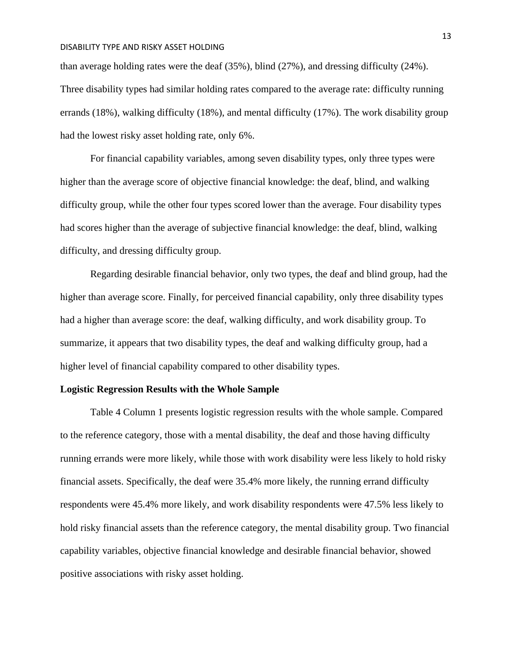than average holding rates were the deaf (35%), blind (27%), and dressing difficulty (24%). Three disability types had similar holding rates compared to the average rate: difficulty running errands (18%), walking difficulty (18%), and mental difficulty (17%). The work disability group had the lowest risky asset holding rate, only 6%.

For financial capability variables, among seven disability types, only three types were higher than the average score of objective financial knowledge: the deaf, blind, and walking difficulty group, while the other four types scored lower than the average. Four disability types had scores higher than the average of subjective financial knowledge: the deaf, blind, walking difficulty, and dressing difficulty group.

Regarding desirable financial behavior, only two types, the deaf and blind group, had the higher than average score. Finally, for perceived financial capability, only three disability types had a higher than average score: the deaf, walking difficulty, and work disability group. To summarize, it appears that two disability types, the deaf and walking difficulty group, had a higher level of financial capability compared to other disability types.

#### **Logistic Regression Results with the Whole Sample**

Table 4 Column 1 presents logistic regression results with the whole sample. Compared to the reference category, those with a mental disability, the deaf and those having difficulty running errands were more likely, while those with work disability were less likely to hold risky financial assets. Specifically, the deaf were 35.4% more likely, the running errand difficulty respondents were 45.4% more likely, and work disability respondents were 47.5% less likely to hold risky financial assets than the reference category, the mental disability group. Two financial capability variables, objective financial knowledge and desirable financial behavior, showed positive associations with risky asset holding.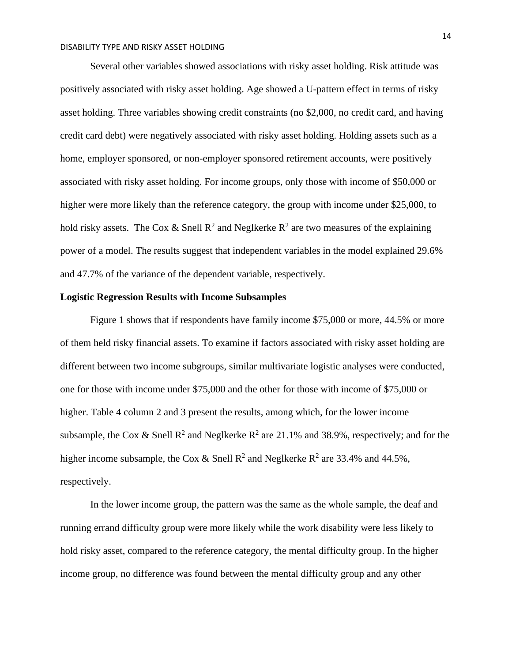Several other variables showed associations with risky asset holding. Risk attitude was positively associated with risky asset holding. Age showed a U-pattern effect in terms of risky asset holding. Three variables showing credit constraints (no \$2,000, no credit card, and having credit card debt) were negatively associated with risky asset holding. Holding assets such as a home, employer sponsored, or non-employer sponsored retirement accounts, were positively associated with risky asset holding. For income groups, only those with income of \$50,000 or higher were more likely than the reference category, the group with income under \$25,000, to hold risky assets. The Cox & Snell  $\mathbb{R}^2$  and Neglkerke  $\mathbb{R}^2$  are two measures of the explaining power of a model. The results suggest that independent variables in the model explained 29.6% and 47.7% of the variance of the dependent variable, respectively.

#### **Logistic Regression Results with Income Subsamples**

Figure 1 shows that if respondents have family income \$75,000 or more, 44.5% or more of them held risky financial assets. To examine if factors associated with risky asset holding are different between two income subgroups, similar multivariate logistic analyses were conducted, one for those with income under \$75,000 and the other for those with income of \$75,000 or higher. Table 4 column 2 and 3 present the results, among which, for the lower income subsample, the Cox & Snell  $\mathbb{R}^2$  and Neglkerke  $\mathbb{R}^2$  are 21.1% and 38.9%, respectively; and for the higher income subsample, the Cox & Snell  $\mathbb{R}^2$  and Neglkerke  $\mathbb{R}^2$  are 33.4% and 44.5%, respectively.

In the lower income group, the pattern was the same as the whole sample, the deaf and running errand difficulty group were more likely while the work disability were less likely to hold risky asset, compared to the reference category, the mental difficulty group. In the higher income group, no difference was found between the mental difficulty group and any other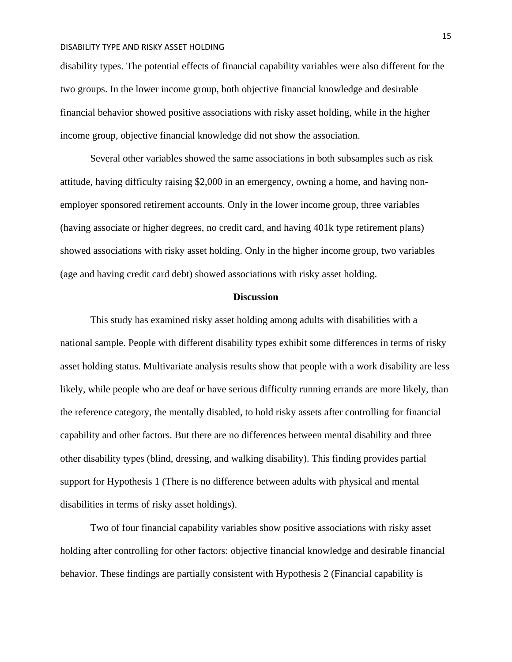disability types. The potential effects of financial capability variables were also different for the two groups. In the lower income group, both objective financial knowledge and desirable financial behavior showed positive associations with risky asset holding, while in the higher income group, objective financial knowledge did not show the association.

Several other variables showed the same associations in both subsamples such as risk attitude, having difficulty raising \$2,000 in an emergency, owning a home, and having nonemployer sponsored retirement accounts. Only in the lower income group, three variables (having associate or higher degrees, no credit card, and having 401k type retirement plans) showed associations with risky asset holding. Only in the higher income group, two variables (age and having credit card debt) showed associations with risky asset holding.

#### **Discussion**

This study has examined risky asset holding among adults with disabilities with a national sample. People with different disability types exhibit some differences in terms of risky asset holding status. Multivariate analysis results show that people with a work disability are less likely, while people who are deaf or have serious difficulty running errands are more likely, than the reference category, the mentally disabled, to hold risky assets after controlling for financial capability and other factors. But there are no differences between mental disability and three other disability types (blind, dressing, and walking disability). This finding provides partial support for Hypothesis 1 (There is no difference between adults with physical and mental disabilities in terms of risky asset holdings).

Two of four financial capability variables show positive associations with risky asset holding after controlling for other factors: objective financial knowledge and desirable financial behavior. These findings are partially consistent with Hypothesis 2 (Financial capability is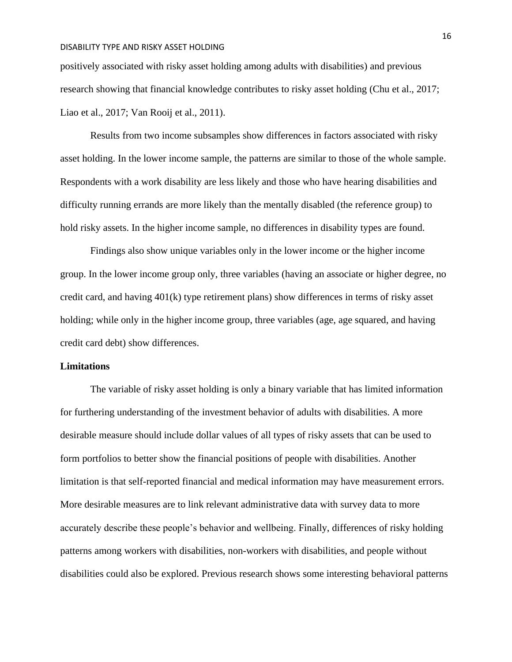positively associated with risky asset holding among adults with disabilities) and previous research showing that financial knowledge contributes to risky asset holding (Chu et al., 2017; Liao et al., 2017; Van Rooij et al., 2011).

Results from two income subsamples show differences in factors associated with risky asset holding. In the lower income sample, the patterns are similar to those of the whole sample. Respondents with a work disability are less likely and those who have hearing disabilities and difficulty running errands are more likely than the mentally disabled (the reference group) to hold risky assets. In the higher income sample, no differences in disability types are found.

Findings also show unique variables only in the lower income or the higher income group. In the lower income group only, three variables (having an associate or higher degree, no credit card, and having 401(k) type retirement plans) show differences in terms of risky asset holding; while only in the higher income group, three variables (age, age squared, and having credit card debt) show differences.

#### **Limitations**

The variable of risky asset holding is only a binary variable that has limited information for furthering understanding of the investment behavior of adults with disabilities. A more desirable measure should include dollar values of all types of risky assets that can be used to form portfolios to better show the financial positions of people with disabilities. Another limitation is that self-reported financial and medical information may have measurement errors. More desirable measures are to link relevant administrative data with survey data to more accurately describe these people's behavior and wellbeing. Finally, differences of risky holding patterns among workers with disabilities, non-workers with disabilities, and people without disabilities could also be explored. Previous research shows some interesting behavioral patterns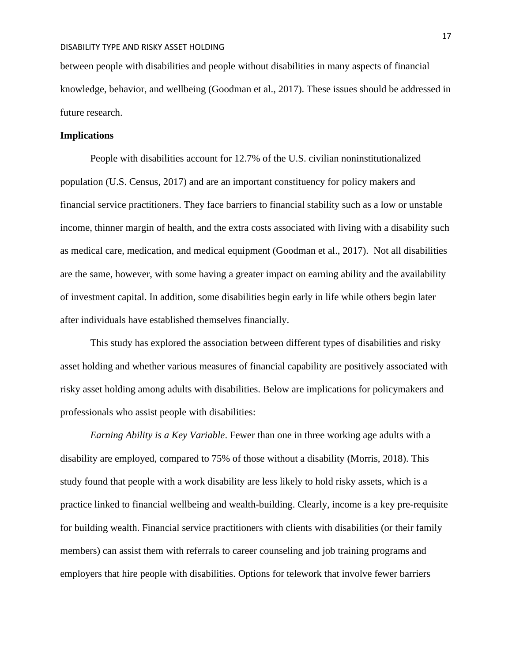between people with disabilities and people without disabilities in many aspects of financial knowledge, behavior, and wellbeing (Goodman et al., 2017). These issues should be addressed in future research.

#### **Implications**

People with disabilities account for 12.7% of the U.S. civilian noninstitutionalized population (U.S. Census, 2017) and are an important constituency for policy makers and financial service practitioners. They face barriers to financial stability such as a low or unstable income, thinner margin of health, and the extra costs associated with living with a disability such as medical care, medication, and medical equipment (Goodman et al., 2017). Not all disabilities are the same, however, with some having a greater impact on earning ability and the availability of investment capital. In addition, some disabilities begin early in life while others begin later after individuals have established themselves financially.

This study has explored the association between different types of disabilities and risky asset holding and whether various measures of financial capability are positively associated with risky asset holding among adults with disabilities. Below are implications for policymakers and professionals who assist people with disabilities:

*Earning Ability is a Key Variable*. Fewer than one in three working age adults with a disability are employed, compared to 75% of those without a disability (Morris, 2018). This study found that people with a work disability are less likely to hold risky assets, which is a practice linked to financial wellbeing and wealth-building. Clearly, income is a key pre-requisite for building wealth. Financial service practitioners with clients with disabilities (or their family members) can assist them with referrals to career counseling and job training programs and employers that hire people with disabilities. Options for telework that involve fewer barriers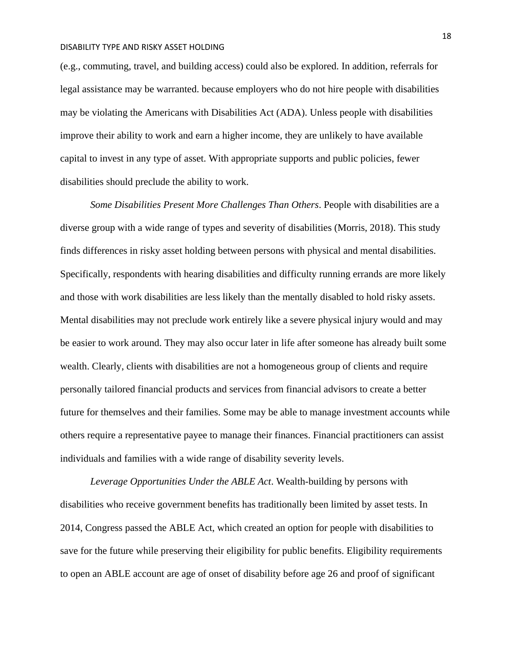(e.g., commuting, travel, and building access) could also be explored. In addition, referrals for legal assistance may be warranted. because employers who do not hire people with disabilities may be violating the Americans with Disabilities Act (ADA). Unless people with disabilities improve their ability to work and earn a higher income, they are unlikely to have available capital to invest in any type of asset. With appropriate supports and public policies, fewer disabilities should preclude the ability to work.

*Some Disabilities Present More Challenges Than Others*. People with disabilities are a diverse group with a wide range of types and severity of disabilities (Morris, 2018). This study finds differences in risky asset holding between persons with physical and mental disabilities. Specifically, respondents with hearing disabilities and difficulty running errands are more likely and those with work disabilities are less likely than the mentally disabled to hold risky assets. Mental disabilities may not preclude work entirely like a severe physical injury would and may be easier to work around. They may also occur later in life after someone has already built some wealth. Clearly, clients with disabilities are not a homogeneous group of clients and require personally tailored financial products and services from financial advisors to create a better future for themselves and their families. Some may be able to manage investment accounts while others require a representative payee to manage their finances. Financial practitioners can assist individuals and families with a wide range of disability severity levels.

*Leverage Opportunities Under the ABLE Act*. Wealth-building by persons with disabilities who receive government benefits has traditionally been limited by asset tests. In 2014, Congress passed the ABLE Act, which created an option for people with disabilities to save for the future while preserving their eligibility for public benefits. Eligibility requirements to open an ABLE account are age of onset of disability before age 26 and proof of significant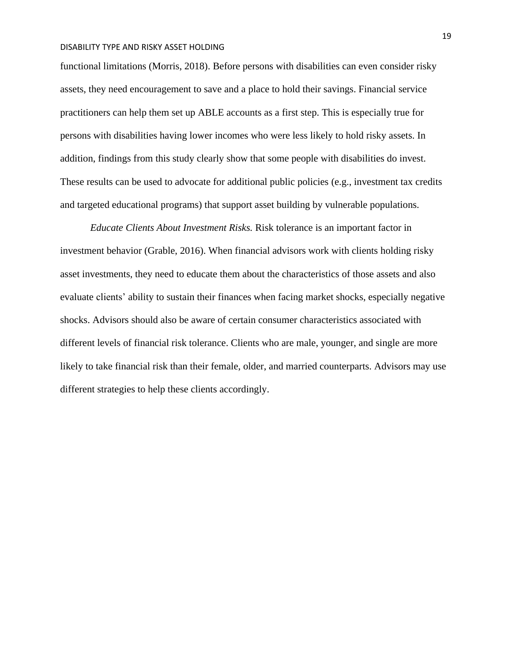functional limitations (Morris, 2018). Before persons with disabilities can even consider risky assets, they need encouragement to save and a place to hold their savings. Financial service practitioners can help them set up ABLE accounts as a first step. This is especially true for persons with disabilities having lower incomes who were less likely to hold risky assets. In addition, findings from this study clearly show that some people with disabilities do invest. These results can be used to advocate for additional public policies (e.g., investment tax credits and targeted educational programs) that support asset building by vulnerable populations.

*Educate Clients About Investment Risks.* Risk tolerance is an important factor in investment behavior (Grable, 2016). When financial advisors work with clients holding risky asset investments, they need to educate them about the characteristics of those assets and also evaluate clients' ability to sustain their finances when facing market shocks, especially negative shocks. Advisors should also be aware of certain consumer characteristics associated with different levels of financial risk tolerance. Clients who are male, younger, and single are more likely to take financial risk than their female, older, and married counterparts. Advisors may use different strategies to help these clients accordingly.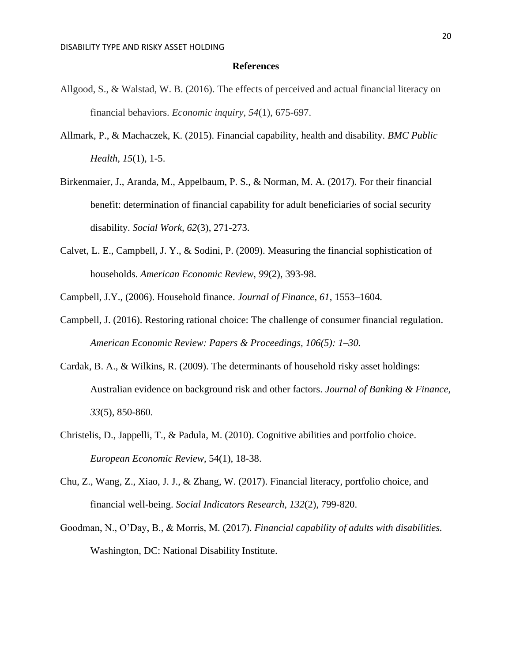#### **References**

- Allgood, S., & Walstad, W. B. (2016). The effects of perceived and actual financial literacy on financial behaviors. *Economic inquiry*, *54*(1), 675-697.
- Allmark, P., & Machaczek, K. (2015). Financial capability, health and disability. *BMC Public Health, 15*(1), 1-5.
- Birkenmaier, J., Aranda, M., Appelbaum, P. S., & Norman, M. A. (2017). For their financial benefit: determination of financial capability for adult beneficiaries of social security disability. *Social Work, 62*(3), 271-273.
- Calvet, L. E., Campbell, J. Y., & Sodini, P. (2009). Measuring the financial sophistication of households. *American Economic Review*, *99*(2), 393-98.
- Campbell, J.Y., (2006). Household finance. *Journal of Finance, 61*, 1553–1604.
- Campbell, J. (2016). Restoring rational choice: The challenge of consumer financial regulation. *American Economic Review: Papers & Proceedings, 106(5): 1–30.*
- Cardak, B. A., & Wilkins, R. (2009). The determinants of household risky asset holdings: Australian evidence on background risk and other factors. *Journal of Banking & Finance, 33*(5), 850-860.
- Christelis, D., Jappelli, T., & Padula, M. (2010). Cognitive abilities and portfolio choice. *European Economic Review*, 54(1), 18-38.
- Chu, Z., Wang, Z., Xiao, J. J., & Zhang, W. (2017). Financial literacy, portfolio choice, and financial well-being. *Social Indicators Research, 132*(2), 799-820.
- Goodman, N., O'Day, B., & Morris, M. (2017). *Financial capability of adults with disabilities.* Washington, DC: National Disability Institute.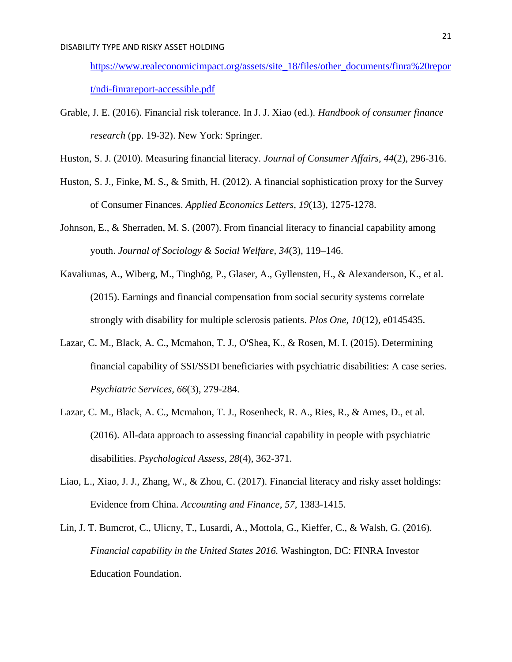[https://www.realeconomicimpact.org/assets/site\\_18/files/other\\_documents/finra%20repor](https://www.realeconomicimpact.org/assets/site_18/files/other_documents/finra%20report/ndi-finrareport-accessible.pdf) [t/ndi-finrareport-accessible.pdf](https://www.realeconomicimpact.org/assets/site_18/files/other_documents/finra%20report/ndi-finrareport-accessible.pdf) 

- Grable, J. E. (2016). Financial risk tolerance. In J. J. Xiao (ed.). *Handbook of consumer finance research* (pp. 19-32). New York: Springer.
- Huston, S. J. (2010). Measuring financial literacy. *Journal of Consumer Affairs*, *44*(2), 296-316.
- Huston, S. J., Finke, M. S., & Smith, H. (2012). A financial sophistication proxy for the Survey of Consumer Finances. *Applied Economics Letters*, *19*(13), 1275-1278.
- Johnson, E., & Sherraden, M. S. (2007). From financial literacy to financial capability among youth. *Journal of Sociology & Social Welfare*, *34*(3), 119–146.
- Kavaliunas, A., Wiberg, M., Tinghög, P., Glaser, A., Gyllensten, H., & Alexanderson, K., et al. (2015). Earnings and financial compensation from social security systems correlate strongly with disability for multiple sclerosis patients. *Plos One, 10*(12), e0145435.
- Lazar, C. M., Black, A. C., Mcmahon, T. J., O'Shea, K., & Rosen, M. I. (2015). Determining financial capability of SSI/SSDI beneficiaries with psychiatric disabilities: A case series. *Psychiatric Services, 66*(3), 279-284.
- Lazar, C. M., Black, A. C., Mcmahon, T. J., Rosenheck, R. A., Ries, R., & Ames, D., et al. (2016). All-data approach to assessing financial capability in people with psychiatric disabilities. *Psychological Assess, 28*(4), 362-371.
- Liao, L., Xiao, J. J., Zhang, W., & Zhou, C. (2017). Financial literacy and risky asset holdings: Evidence from China. *Accounting and Finance, 57,* 1383-1415.
- Lin, J. T. Bumcrot, C., Ulicny, T., Lusardi, A., Mottola, G., Kieffer, C., & Walsh, G. (2016). *Financial capability in the United States 2016.* Washington, DC: FINRA Investor Education Foundation.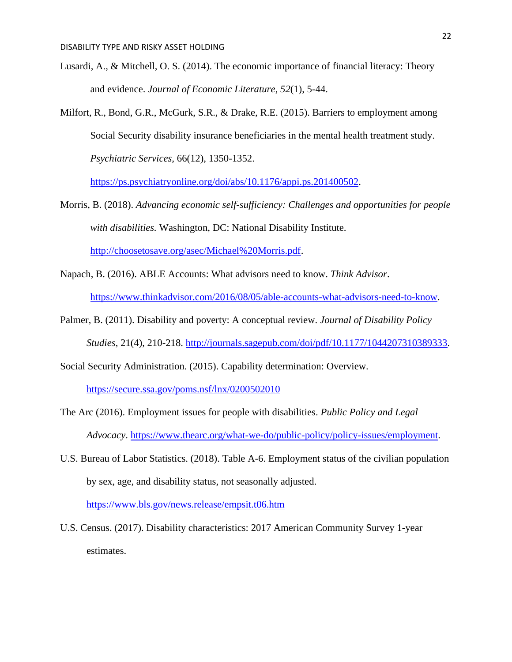- Lusardi, A., & Mitchell, O. S. (2014). The economic importance of financial literacy: Theory and evidence. *Journal of Economic Literature*, *52*(1), 5-44.
- Milfort, R., Bond, G.R., McGurk, S.R., & Drake, R.E. (2015). Barriers to employment among Social Security disability insurance beneficiaries in the mental health treatment study. *Psychiatric Services,* 66(12), 1350-1352.

[https://ps.psychiatryonline.org/doi/abs/10.1176/appi.ps.201400502.](https://ps.psychiatryonline.org/doi/abs/10.1176/appi.ps.201400502)

- Morris, B. (2018). *Advancing economic self-sufficiency: Challenges and opportunities for people with disabilities.* Washington, DC: National Disability Institute. [http://choosetosave.org/asec/Michael%20Morris.pdf.](http://choosetosave.org/asec/Michael%20Morris.pdf)
- Napach, B. (2016). ABLE Accounts: What advisors need to know. *Think Advisor*. [https://www.thinkadvisor.com/2016/08/05/able-accounts-what-advisors-need-to-know.](https://www.thinkadvisor.com/2016/08/05/able-accounts-what-advisors-need-to-know)
- Palmer, B. (2011). Disability and poverty: A conceptual review. *Journal of Disability Policy Studies*, 21(4), 210-218. [http://journals.sagepub.com/doi/pdf/10.1177/1044207310389333.](http://journals.sagepub.com/doi/pdf/10.1177/1044207310389333)
- Social Security Administration. (2015). Capability determination: Overview.

<https://secure.ssa.gov/poms.nsf/lnx/0200502010>

- The Arc (2016). Employment issues for people with disabilities. *Public Policy and Legal Advocacy*. [https://www.thearc.org/what-we-do/public-policy/policy-issues/employment.](https://www.thearc.org/what-we-do/public-policy/policy-issues/employment)
- U.S. Bureau of Labor Statistics. (2018). Table A-6. Employment status of the civilian population by sex, age, and disability status, not seasonally adjusted. <https://www.bls.gov/news.release/empsit.t06.htm>
- U.S. Census. (2017). Disability characteristics: 2017 American Community Survey 1-year estimates.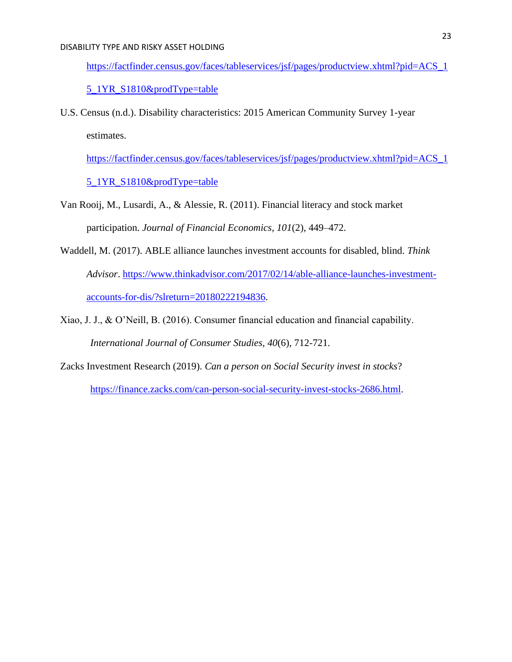[https://factfinder.census.gov/faces/tableservices/jsf/pages/productview.xhtml?pid=ACS\\_1](https://factfinder.census.gov/faces/tableservices/jsf/pages/productview.xhtml?pid=ACS_15_1YR_S1810&prodType=table)

### 5 1YR S1810&prodType=table

U.S. Census (n.d.). Disability characteristics: 2015 American Community Survey 1-year estimates.

[https://factfinder.census.gov/faces/tableservices/jsf/pages/productview.xhtml?pid=ACS\\_1](https://factfinder.census.gov/faces/tableservices/jsf/pages/productview.xhtml?pid=ACS_15_1YR_S1810&prodType=table)

5 1YR S1810&prodType=table

- Van Rooij, M., Lusardi, A., & Alessie, R. (2011). Financial literacy and stock market participation. *Journal of Financial Economics, 101*(2), 449–472.
- Waddell, M. (2017). ABLE alliance launches investment accounts for disabled, blind. *Think Advisor*. [https://www.thinkadvisor.com/2017/02/14/able-alliance-launches-investment](https://www.thinkadvisor.com/2017/02/14/able-alliance-launches-investment-accounts-for-dis/?slreturn=20180222194836)[accounts-for-dis/?slreturn=20180222194836.](https://www.thinkadvisor.com/2017/02/14/able-alliance-launches-investment-accounts-for-dis/?slreturn=20180222194836)
- Xiao, J. J., & O'Neill, B. (2016). Consumer financial education and financial capability. *International Journal of Consumer Studies, 40*(6), 712-721.
- Zacks Investment Research (2019). *Can a person on Social Security invest in stocks*?

[https://finance.zacks.com/can-person-social-security-invest-stocks-2686.html.](https://finance.zacks.com/can-person-social-security-invest-stocks-2686.html)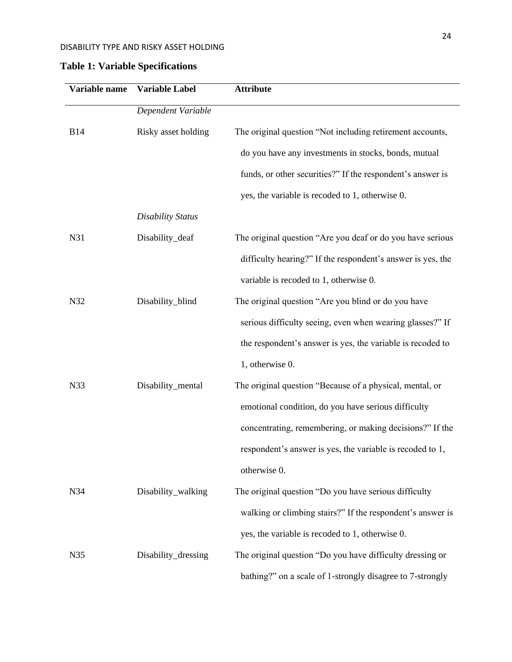# **Table 1: Variable Specifications**

| Variable name | Variable Label           | <b>Attribute</b>                                            |
|---------------|--------------------------|-------------------------------------------------------------|
|               | Dependent Variable       |                                                             |
| <b>B14</b>    | Risky asset holding      | The original question "Not including retirement accounts,   |
|               |                          | do you have any investments in stocks, bonds, mutual        |
|               |                          | funds, or other securities?" If the respondent's answer is  |
|               |                          | yes, the variable is recoded to 1, otherwise 0.             |
|               | <b>Disability Status</b> |                                                             |
| N31           | Disability_deaf          | The original question "Are you deaf or do you have serious  |
|               |                          | difficulty hearing?" If the respondent's answer is yes, the |
|               |                          | variable is recoded to 1, otherwise 0.                      |
| N32           | Disability_blind         | The original question "Are you blind or do you have         |
|               |                          | serious difficulty seeing, even when wearing glasses?" If   |
|               |                          | the respondent's answer is yes, the variable is recoded to  |
|               |                          | 1, otherwise 0.                                             |
| N33           | Disability_mental        | The original question "Because of a physical, mental, or    |
|               |                          | emotional condition, do you have serious difficulty         |
|               |                          | concentrating, remembering, or making decisions?" If the    |
|               |                          | respondent's answer is yes, the variable is recoded to 1,   |
|               |                          | otherwise 0.                                                |
| N34           | Disability_walking       | The original question "Do you have serious difficulty       |
|               |                          | walking or climbing stairs?" If the respondent's answer is  |
|               |                          | yes, the variable is recoded to 1, otherwise 0.             |
| N35           | Disability_dressing      | The original question "Do you have difficulty dressing or   |
|               |                          | bathing?" on a scale of 1-strongly disagree to 7-strongly   |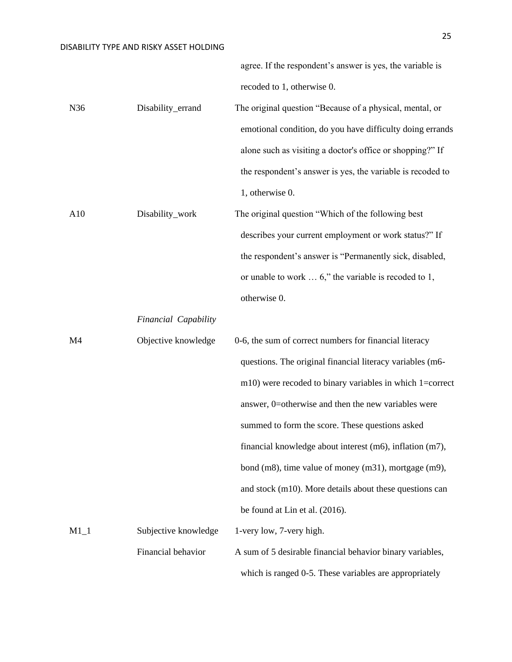agree. If the respondent's answer is yes, the variable is recoded to 1, otherwise 0.

N36 Disability\_errand The original question "Because of a physical, mental, or emotional condition, do you have difficulty doing errands alone such as visiting a doctor's office or shopping?" If the respondent's answer is yes, the variable is recoded to 1, otherwise 0.

A10 Disability\_work The original question "Which of the following best describes your current employment or work status?" If the respondent's answer is "Permanently sick, disabled, or unable to work … 6," the variable is recoded to 1, otherwise 0.

*Financial Capability*

| M4     | Objective knowledge  | 0-6, the sum of correct numbers for financial literacy      |
|--------|----------------------|-------------------------------------------------------------|
|        |                      | questions. The original financial literacy variables (m6-   |
|        |                      | $m10$ ) were recoded to binary variables in which 1=correct |
|        |                      | answer, 0=otherwise and then the new variables were         |
|        |                      | summed to form the score. These questions asked             |
|        |                      | financial knowledge about interest (m6), inflation (m7),    |
|        |                      | bond (m8), time value of money (m31), mortgage (m9),        |
|        |                      | and stock (m10). More details about these questions can     |
|        |                      | be found at Lin et al. (2016).                              |
| $M1_1$ | Subjective knowledge | 1-very low, 7-very high.                                    |
|        | Financial behavior   | A sum of 5 desirable financial behavior binary variables,   |
|        |                      | which is ranged 0-5. These variables are appropriately      |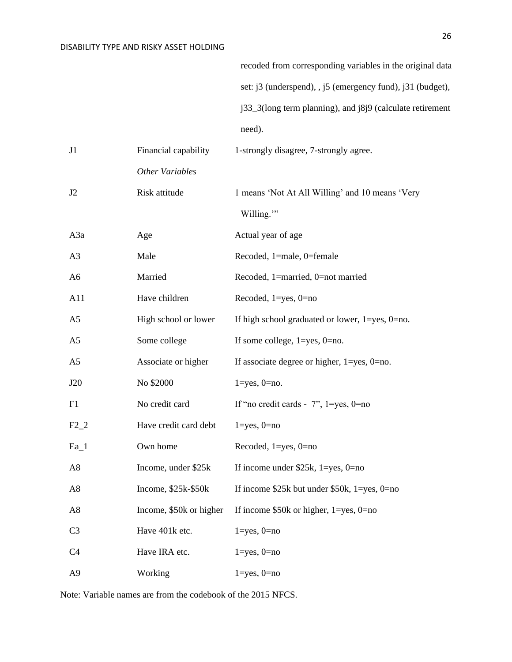recoded from corresponding variables in the original data set: j3 (underspend), , j5 (emergency fund), j31 (budget), j33\_3(long term planning), and j8j9 (calculate retirement need).

| J1             | Financial capability    | 1-strongly disagree, 7-strongly agree.                    |
|----------------|-------------------------|-----------------------------------------------------------|
|                | Other Variables         |                                                           |
| J2             | Risk attitude           | 1 means 'Not At All Willing' and 10 means 'Very           |
|                |                         | Willing."                                                 |
| A3a            | Age                     | Actual year of age                                        |
| A <sub>3</sub> | Male                    | Recoded, 1=male, 0=female                                 |
| A <sub>6</sub> | Married                 | Recoded, 1=married, 0=not married                         |
| A11            | Have children           | Recoded, $1 = yes$ , $0 = no$                             |
| A <sub>5</sub> | High school or lower    | If high school graduated or lower, $1 = yes$ , $0 = no$ . |
| A <sub>5</sub> | Some college            | If some college, $1 = yes$ , $0 = no$ .                   |
| A <sub>5</sub> | Associate or higher     | If associate degree or higher, $1 = yes$ , $0 = no$ .     |
| J20            | No \$2000               | $1 = yes, 0 = no.$                                        |
| F1             | No credit card          | If "no credit cards - $7$ ", $1 = yes$ , $0 = no$         |
| $F2_2$         | Have credit card debt   | $1 = yes, 0 = no$                                         |
| $Ea_1$         | Own home                | Recoded, $1 = yes$ , $0 = no$                             |
| A8             | Income, under \$25k     | If income under $$25k, 1 = yes, 0 = no$                   |
| A <sub>8</sub> | Income, $$25k-$50k$     | If income \$25k but under \$50k, $1 = yes$ , 0=no         |
| A8             | Income, \$50k or higher | If income $$50k$ or higher, 1=yes, 0=no                   |
| C <sub>3</sub> | Have 401k etc.          | $1 = yes, 0 = no$                                         |
| C4             | Have IRA etc.           | $1 = yes, 0 = no$                                         |
| A <sub>9</sub> | Working                 | $1 = yes, 0 = no$                                         |

Note: Variable names are from the codebook of the 2015 NFCS.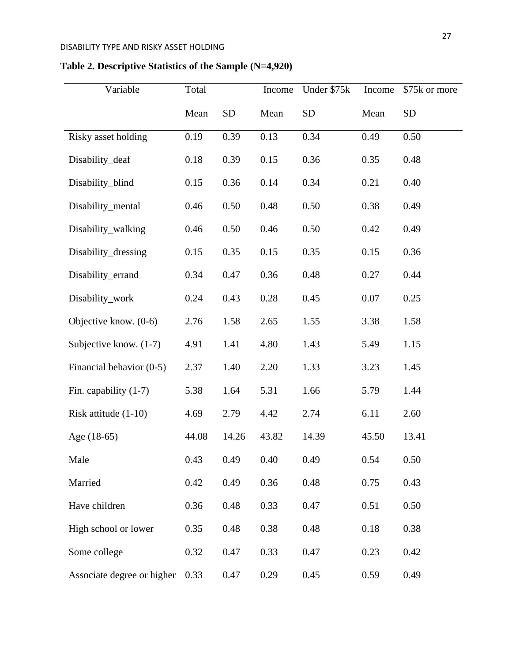| Variable                   | Total |           | Income | Under \$75k | Income | \$75k or more |
|----------------------------|-------|-----------|--------|-------------|--------|---------------|
|                            | Mean  | <b>SD</b> | Mean   | <b>SD</b>   | Mean   | <b>SD</b>     |
| Risky asset holding        | 0.19  | 0.39      | 0.13   | 0.34        | 0.49   | 0.50          |
| Disability_deaf            | 0.18  | 0.39      | 0.15   | 0.36        | 0.35   | 0.48          |
| Disability_blind           | 0.15  | 0.36      | 0.14   | 0.34        | 0.21   | 0.40          |
| Disability_mental          | 0.46  | 0.50      | 0.48   | 0.50        | 0.38   | 0.49          |
| Disability_walking         | 0.46  | 0.50      | 0.46   | 0.50        | 0.42   | 0.49          |
| Disability_dressing        | 0.15  | 0.35      | 0.15   | 0.35        | 0.15   | 0.36          |
| Disability_errand          | 0.34  | 0.47      | 0.36   | 0.48        | 0.27   | 0.44          |
| Disability_work            | 0.24  | 0.43      | 0.28   | 0.45        | 0.07   | 0.25          |
| Objective know. (0-6)      | 2.76  | 1.58      | 2.65   | 1.55        | 3.38   | 1.58          |
| Subjective know. (1-7)     | 4.91  | 1.41      | 4.80   | 1.43        | 5.49   | 1.15          |
| Financial behavior (0-5)   | 2.37  | 1.40      | 2.20   | 1.33        | 3.23   | 1.45          |
| Fin. capability (1-7)      | 5.38  | 1.64      | 5.31   | 1.66        | 5.79   | 1.44          |
| Risk attitude $(1-10)$     | 4.69  | 2.79      | 4.42   | 2.74        | 6.11   | 2.60          |
| Age (18-65)                | 44.08 | 14.26     | 43.82  | 14.39       | 45.50  | 13.41         |
| Male                       | 0.43  | 0.49      | 0.40   | 0.49        | 0.54   | 0.50          |
| Married                    | 0.42  | 0.49      | 0.36   | 0.48        | 0.75   | 0.43          |
| Have children              | 0.36  | 0.48      | 0.33   | 0.47        | 0.51   | 0.50          |
| High school or lower       | 0.35  | 0.48      | 0.38   | 0.48        | 0.18   | 0.38          |
| Some college               | 0.32  | 0.47      | 0.33   | 0.47        | 0.23   | 0.42          |
| Associate degree or higher | 0.33  | 0.47      | 0.29   | 0.45        | 0.59   | 0.49          |

# **Table 2. Descriptive Statistics of the Sample (N=4,920)**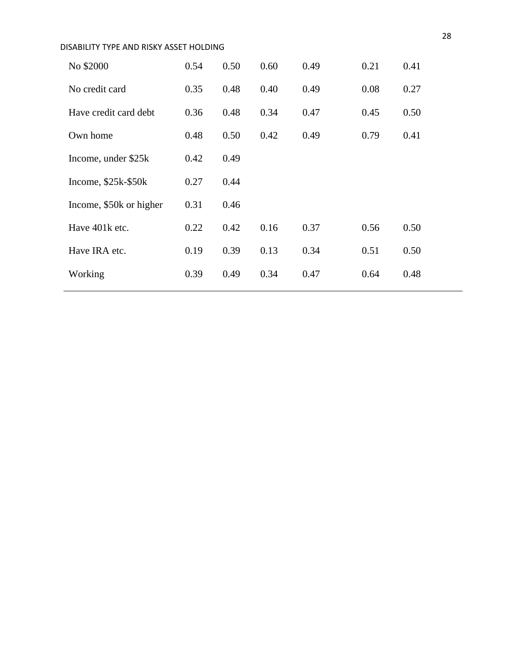| DISABILITY TYPE AND RISKY ASSET HOLDING |      |      |      |      |      |      |  |  |
|-----------------------------------------|------|------|------|------|------|------|--|--|
| No \$2000                               | 0.54 | 0.50 | 0.60 | 0.49 | 0.21 | 0.41 |  |  |
| No credit card                          | 0.35 | 0.48 | 0.40 | 0.49 | 0.08 | 0.27 |  |  |
| Have credit card debt                   | 0.36 | 0.48 | 0.34 | 0.47 | 0.45 | 0.50 |  |  |
| Own home                                | 0.48 | 0.50 | 0.42 | 0.49 | 0.79 | 0.41 |  |  |
| Income, under \$25k                     | 0.42 | 0.49 |      |      |      |      |  |  |
| Income, $$25k-$50k$                     | 0.27 | 0.44 |      |      |      |      |  |  |
| Income, \$50k or higher                 | 0.31 | 0.46 |      |      |      |      |  |  |
| Have 401k etc.                          | 0.22 | 0.42 | 0.16 | 0.37 | 0.56 | 0.50 |  |  |
| Have IRA etc.                           | 0.19 | 0.39 | 0.13 | 0.34 | 0.51 | 0.50 |  |  |
| Working                                 | 0.39 | 0.49 | 0.34 | 0.47 | 0.64 | 0.48 |  |  |
|                                         |      |      |      |      |      |      |  |  |

28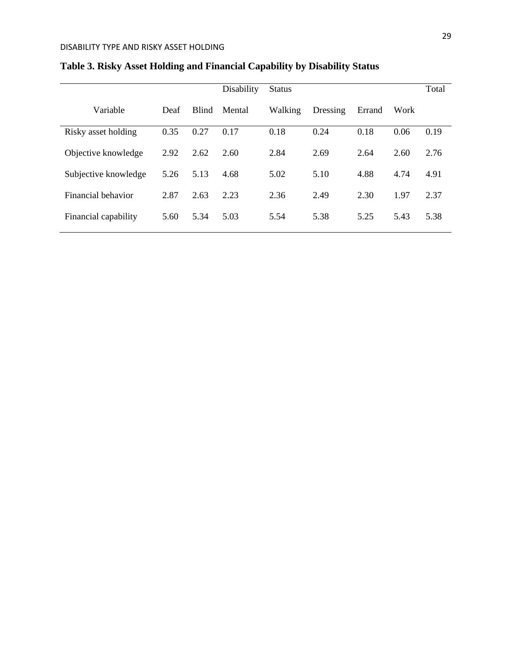|                      |      |              | Disability | <b>Status</b> |          |        |      | Total |
|----------------------|------|--------------|------------|---------------|----------|--------|------|-------|
| Variable             | Deaf | <b>Blind</b> | Mental     | Walking       | Dressing | Errand | Work |       |
| Risky asset holding  | 0.35 | 0.27         | 0.17       | 0.18          | 0.24     | 0.18   | 0.06 | 0.19  |
| Objective knowledge  | 2.92 | 2.62         | 2.60       | 2.84          | 2.69     | 2.64   | 2.60 | 2.76  |
| Subjective knowledge | 5.26 | 5.13         | 4.68       | 5.02          | 5.10     | 4.88   | 4.74 | 4.91  |
| Financial behavior   | 2.87 | 2.63         | 2.23       | 2.36          | 2.49     | 2.30   | 1.97 | 2.37  |
| Financial capability | 5.60 | 5.34         | 5.03       | 5.54          | 5.38     | 5.25   | 5.43 | 5.38  |
|                      |      |              |            |               |          |        |      |       |

# **Table 3. Risky Asset Holding and Financial Capability by Disability Status**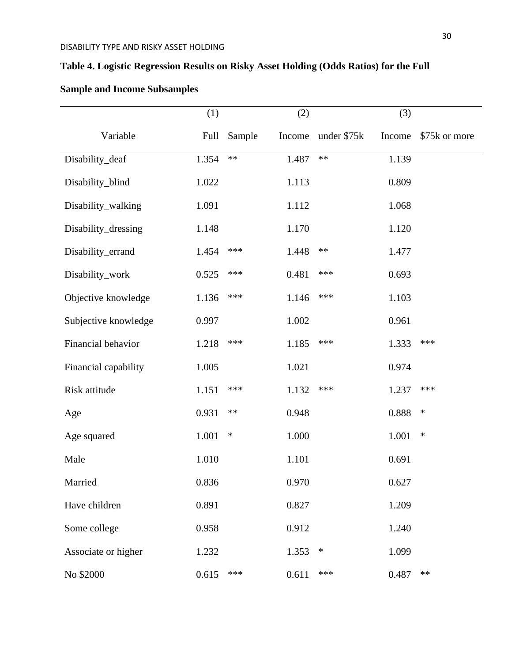# **Table 4. Logistic Regression Results on Risky Asset Holding (Odds Ratios) for the Full**

|                      | (1)   |            | (2)    |             | (3)    |               |
|----------------------|-------|------------|--------|-------------|--------|---------------|
| Variable             | Full  | Sample     | Income | under \$75k | Income | \$75k or more |
| Disability_deaf      | 1.354 | $\ast\ast$ | 1.487  | $***$       | 1.139  |               |
| Disability_blind     | 1.022 |            | 1.113  |             | 0.809  |               |
| Disability_walking   | 1.091 |            | 1.112  |             | 1.068  |               |
| Disability_dressing  | 1.148 |            | 1.170  |             | 1.120  |               |
| Disability_errand    | 1.454 | ***        | 1.448  | $\ast\ast$  | 1.477  |               |
| Disability_work      | 0.525 | ***        | 0.481  | ***         | 0.693  |               |
| Objective knowledge  | 1.136 | ***        | 1.146  | ***         | 1.103  |               |
| Subjective knowledge | 0.997 |            | 1.002  |             | 0.961  |               |
| Financial behavior   | 1.218 | ***        | 1.185  | ***         | 1.333  | ***           |
| Financial capability | 1.005 |            | 1.021  |             | 0.974  |               |
| Risk attitude        | 1.151 | ***        | 1.132  | ***         | 1.237  | ***           |
| Age                  | 0.931 | $**$       | 0.948  |             | 0.888  | $\ast$        |
| Age squared          | 1.001 | $\ast$     | 1.000  |             | 1.001  | $\ast$        |
| Male                 | 1.010 |            | 1.101  |             | 0.691  |               |
| Married              | 0.836 |            | 0.970  |             | 0.627  |               |
| Have children        | 0.891 |            | 0.827  |             | 1.209  |               |
| Some college         | 0.958 |            | 0.912  |             | 1.240  |               |
| Associate or higher  | 1.232 |            | 1.353  | $\ast$      | 1.099  |               |
| No \$2000            | 0.615 | ***        | 0.611  | ***         | 0.487  | **            |

# **Sample and Income Subsamples**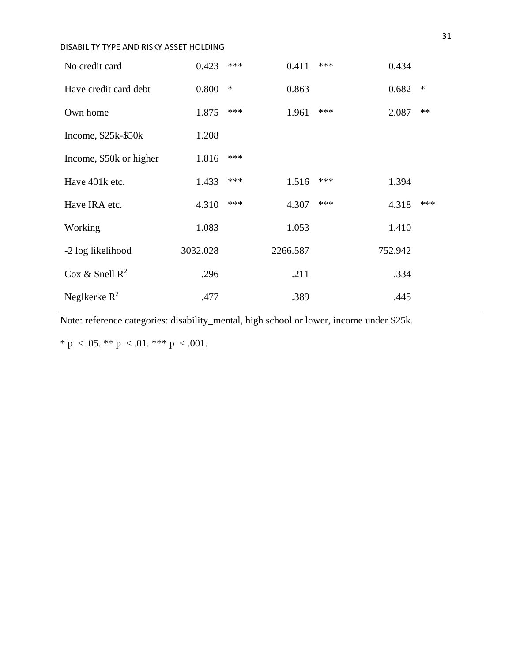| No credit card          | 0.423    | *** | 0.411    | *** | 0.434   |        |
|-------------------------|----------|-----|----------|-----|---------|--------|
| Have credit card debt   | 0.800    | ∗   | 0.863    |     | 0.682   | $\ast$ |
| Own home                | 1.875    | *** | 1.961    | *** | 2.087   | $**$   |
| Income, $$25k-$50k$     | 1.208    |     |          |     |         |        |
| Income, \$50k or higher | 1.816    | *** |          |     |         |        |
| Have 401k etc.          | 1.433    | *** | 1.516    | *** | 1.394   |        |
| Have IRA etc.           | 4.310    | *** | 4.307    | *** | 4.318   | ***    |
| Working                 | 1.083    |     | 1.053    |     | 1.410   |        |
| -2 log likelihood       | 3032.028 |     | 2266.587 |     | 752.942 |        |
| Cox & Snell $R^2$       | .296     |     | .211     |     | .334    |        |
| Neglkerke $R^2$         | .477     |     | .389     |     | .445    |        |

Note: reference categories: disability\_mental, high school or lower, income under \$25k.

\* p < .05. \*\* p < .01. \*\*\* p < .001.